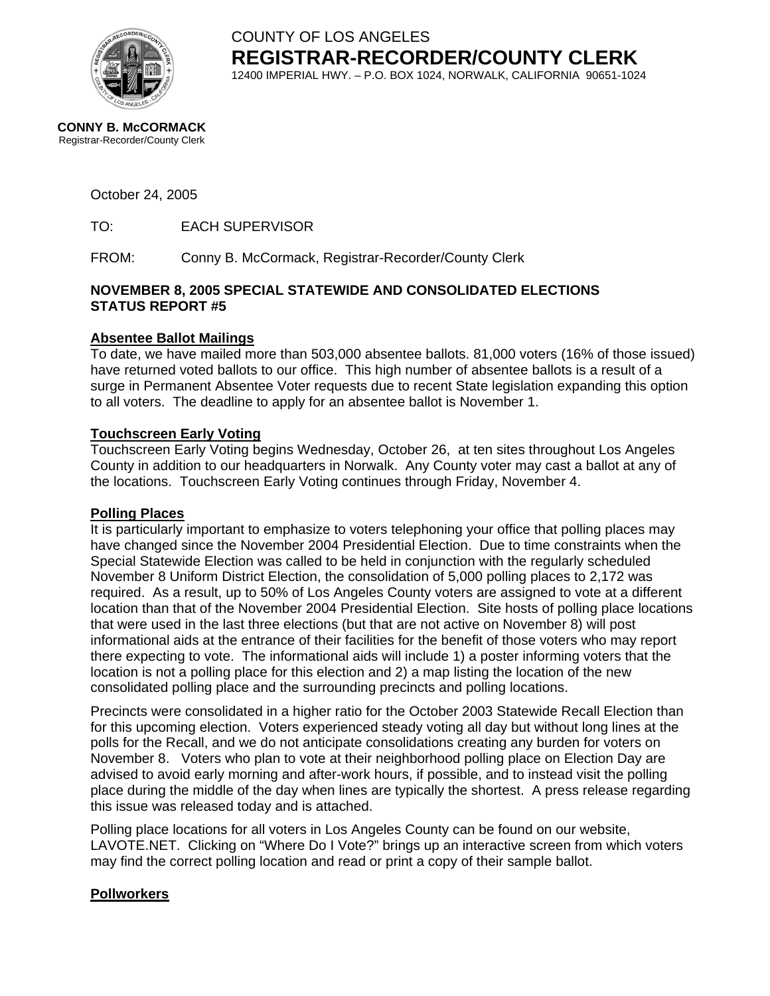

COUNTY OF LOS ANGELES **REGISTRAR-RECORDER/COUNTY CLERK** 12400 IMPERIAL HWY. – P.O. BOX 1024, NORWALK, CALIFORNIA 90651-1024

**CONNY B. McCORMACK** Registrar-Recorder/County Clerk

#### October 24, 2005

TO: EACH SUPERVISOR

FROM: Conny B. McCormack, Registrar-Recorder/County Clerk

#### **NOVEMBER 8, 2005 SPECIAL STATEWIDE AND CONSOLIDATED ELECTIONS STATUS REPORT #5**

#### **Absentee Ballot Mailings**

To date, we have mailed more than 503,000 absentee ballots. 81,000 voters (16% of those issued) have returned voted ballots to our office. This high number of absentee ballots is a result of a surge in Permanent Absentee Voter requests due to recent State legislation expanding this option to all voters. The deadline to apply for an absentee ballot is November 1.

#### **Touchscreen Early Voting**

Touchscreen Early Voting begins Wednesday, October 26, at ten sites throughout Los Angeles County in addition to our headquarters in Norwalk. Any County voter may cast a ballot at any of the locations. Touchscreen Early Voting continues through Friday, November 4.

#### **Polling Places**

It is particularly important to emphasize to voters telephoning your office that polling places may have changed since the November 2004 Presidential Election. Due to time constraints when the Special Statewide Election was called to be held in conjunction with the regularly scheduled November 8 Uniform District Election, the consolidation of 5,000 polling places to 2,172 was required. As a result, up to 50% of Los Angeles County voters are assigned to vote at a different location than that of the November 2004 Presidential Election. Site hosts of polling place locations that were used in the last three elections (but that are not active on November 8) will post informational aids at the entrance of their facilities for the benefit of those voters who may report there expecting to vote. The informational aids will include 1) a poster informing voters that the location is not a polling place for this election and 2) a map listing the location of the new consolidated polling place and the surrounding precincts and polling locations.

Precincts were consolidated in a higher ratio for the October 2003 Statewide Recall Election than for this upcoming election. Voters experienced steady voting all day but without long lines at the polls for the Recall, and we do not anticipate consolidations creating any burden for voters on November 8. Voters who plan to vote at their neighborhood polling place on Election Day are advised to avoid early morning and after-work hours, if possible, and to instead visit the polling place during the middle of the day when lines are typically the shortest. A press release regarding this issue was released today and is attached.

Polling place locations for all voters in Los Angeles County can be found on our website, LAVOTE.NET. Clicking on "Where Do I Vote?" brings up an interactive screen from which voters may find the correct polling location and read or print a copy of their sample ballot.

#### **Pollworkers**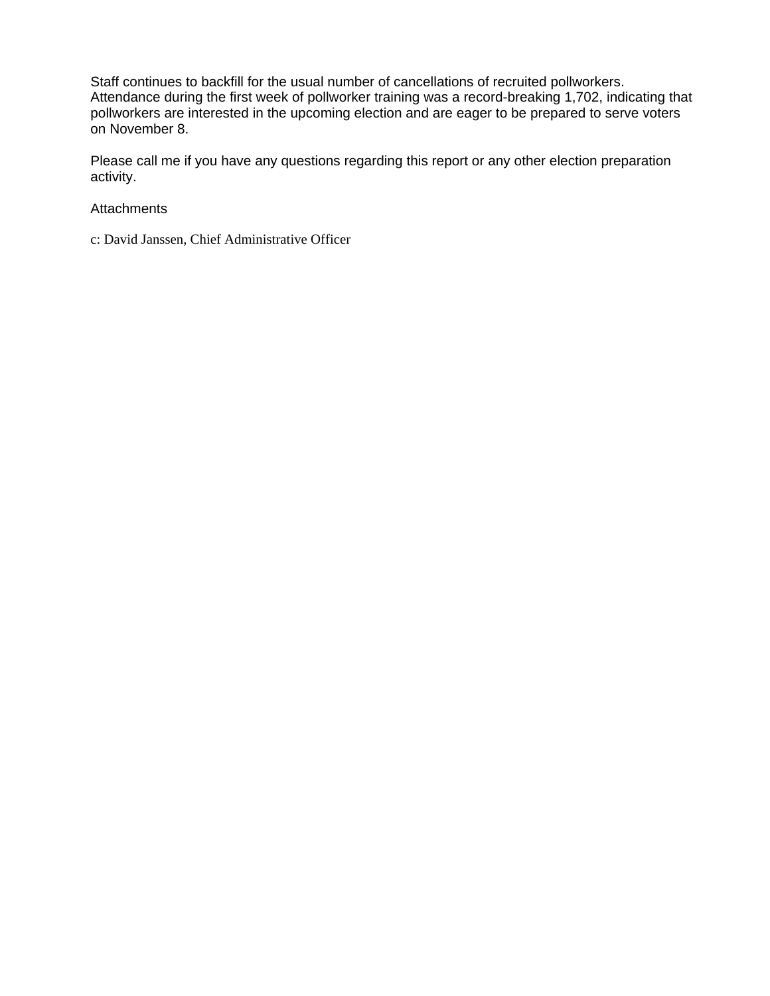Staff continues to backfill for the usual number of cancellations of recruited pollworkers. Attendance during the first week of pollworker training was a record-breaking 1,702, indicating that pollworkers are interested in the upcoming election and are eager to be prepared to serve voters on November 8.

Please call me if you have any questions regarding this report or any other election preparation activity.

#### **Attachments**

c: David Janssen, Chief Administrative Officer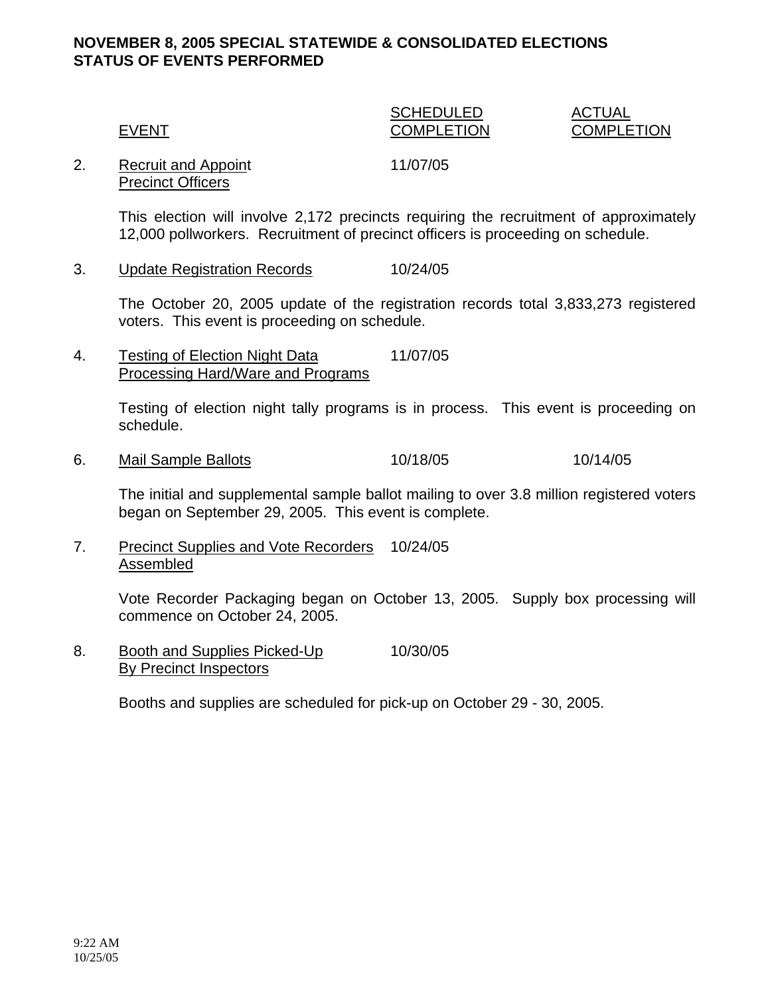#### **NOVEMBER 8, 2005 SPECIAL STATEWIDE & CONSOLIDATED ELECTIONS STATUS OF EVENTS PERFORMED**

### SCHEDULED ACTUAL EVENT COMPLETION COMPLETION

2. Recruit and Appoint 11/07/05 Precinct Officers

This election will involve 2,172 precincts requiring the recruitment of approximately 12,000 pollworkers. Recruitment of precinct officers is proceeding on schedule.

3. Update Registration Records 10/24/05

The October 20, 2005 update of the registration records total 3,833,273 registered voters. This event is proceeding on schedule.

4. Testing of Election Night Data 11/07/05 Processing Hard/Ware and Programs

> Testing of election night tally programs is in process. This event is proceeding on schedule.

6. Mail Sample Ballots 10/18/05 10/14/05

The initial and supplemental sample ballot mailing to over 3.8 million registered voters began on September 29, 2005. This event is complete.

7. Precinct Supplies and Vote Recorders 10/24/05 Assembled

> Vote Recorder Packaging began on October 13, 2005. Supply box processing will commence on October 24, 2005.

8. Booth and Supplies Picked-Up 10/30/05 By Precinct Inspectors

Booths and supplies are scheduled for pick-up on October 29 - 30, 2005.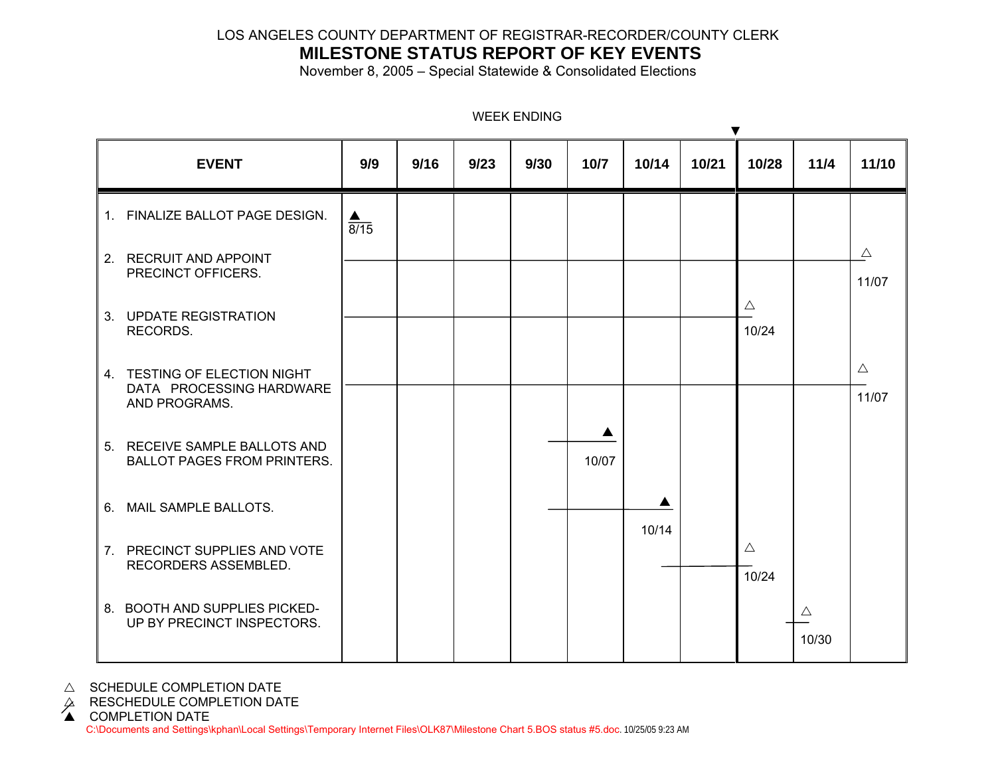#### LOS ANGELES COUNTY DEPARTMENT OF REGISTRAR-RECORDER/COUNTY CLERK

## **MILESTONE STATUS REPORT OF KEY EVENTS**

November 8, 2005 – Special Statewide & Consolidated Elections

| <b>EVENT</b>                                                              | 9/9              | 9/16 | 9/23 | 9/30 | 10/7  | 10/14      | ▼<br>10/21 | 10/28                | 11/4                 | 11/10                |
|---------------------------------------------------------------------------|------------------|------|------|------|-------|------------|------------|----------------------|----------------------|----------------------|
| 1. FINALIZE BALLOT PAGE DESIGN.                                           | $\frac{1}{8/15}$ |      |      |      |       |            |            |                      |                      |                      |
| 2. RECRUIT AND APPOINT<br>PRECINCT OFFICERS.                              |                  |      |      |      |       |            |            |                      |                      | $\triangle$<br>11/07 |
| 3. UPDATE REGISTRATION<br>RECORDS.                                        |                  |      |      |      |       |            |            | $\triangle$<br>10/24 |                      |                      |
| 4. TESTING OF ELECTION NIGHT<br>DATA PROCESSING HARDWARE<br>AND PROGRAMS. |                  |      |      |      |       |            |            |                      |                      | $\triangle$<br>11/07 |
| 5. RECEIVE SAMPLE BALLOTS AND<br><b>BALLOT PAGES FROM PRINTERS.</b>       |                  |      |      |      | 10/07 |            |            |                      |                      |                      |
| 6. MAIL SAMPLE BALLOTS.                                                   |                  |      |      |      |       | ▲<br>10/14 |            |                      |                      |                      |
| 7. PRECINCT SUPPLIES AND VOTE<br>RECORDERS ASSEMBLED.                     |                  |      |      |      |       |            |            | $\triangle$<br>10/24 |                      |                      |
| 8. BOOTH AND SUPPLIES PICKED-<br>UP BY PRECINCT INSPECTORS.               |                  |      |      |      |       |            |            |                      | $\triangle$<br>10/30 |                      |

WEEK ENDING

 $\triangle$  SCHEDULE COMPLETION DATE

 $\varphi$  RESCHEDULE COMPLETION DATE<br>▲ COMPLETION DATE

C:\Documents and Settings\kphan\Local Settings\Temporary Internet Files\OLK87\Milestone Chart 5.BOS status #5.doc. 10/25/05 9:23 AM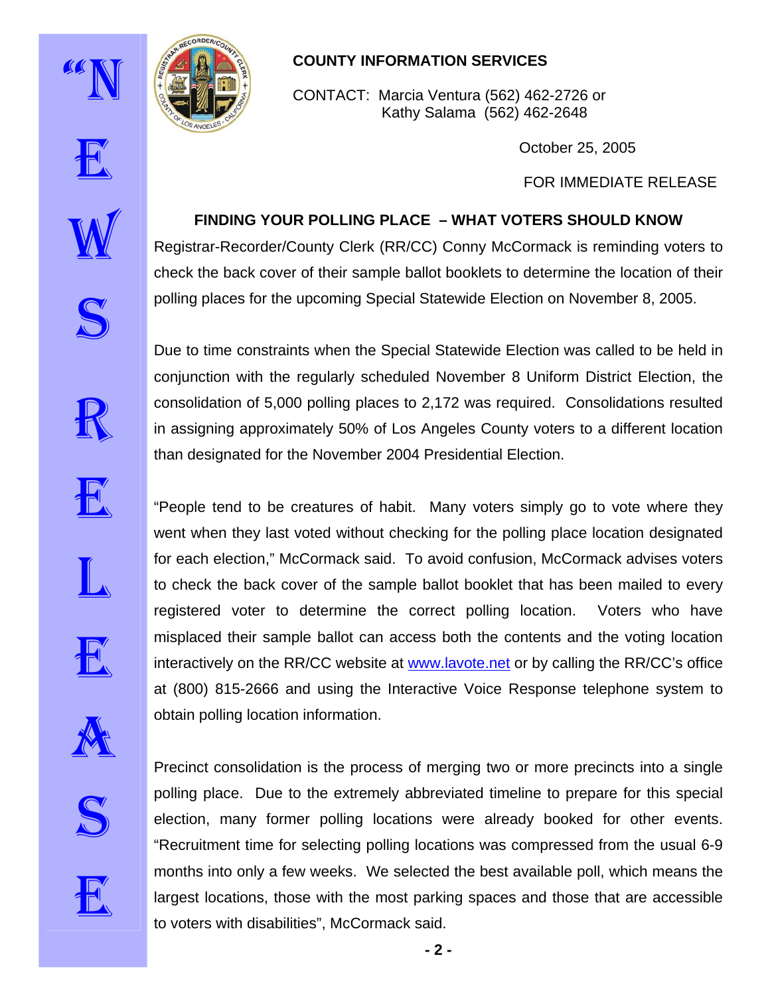



# **COUNTY INFORMATION SERVICES**

CONTACT: Marcia Ventura (562) 462-2726 or Kathy Salama (562) 462-2648

**FINDING YOUR POLLING PLACE – WHAT VOTERS SHOULD KNOW** 

Registrar-Recorder/County Clerk (RR/CC) Conny McCormack is reminding voters to

Due to time constraints when the Special Statewide Election was called to be held in

conjunction with the regularly scheduled November 8 Uniform District Election, the

consolidation of 5,000 polling places to 2,172 was required. Consolidations resulted

in assigning approximately 50% of Los Angeles County voters to a different location

October 25, 2005

FOR IMMEDIATE RELEASE



E

# check the back cover of their sample ballot booklets to determine the location of their polling places for the upcoming Special Statewide Election on November 8, 2005.















than designated for the November 2004 Presidential Election.

went when they last voted without checking for the polling place location designated for each election," McCormack said. To avoid confusion, McCormack advises voters to check the back cover of the sample ballot booklet that has been mailed to every registered voter to determine the correct polling location. Voters who have misplaced their sample ballot can access both the contents and the voting location interactively on the RR/CC website at [www.lavote.net](http://www.lavote.net/) or by calling the RR/CC's office at (800) 815-2666 and using the Interactive Voice Response telephone system to obtain polling location information.



E